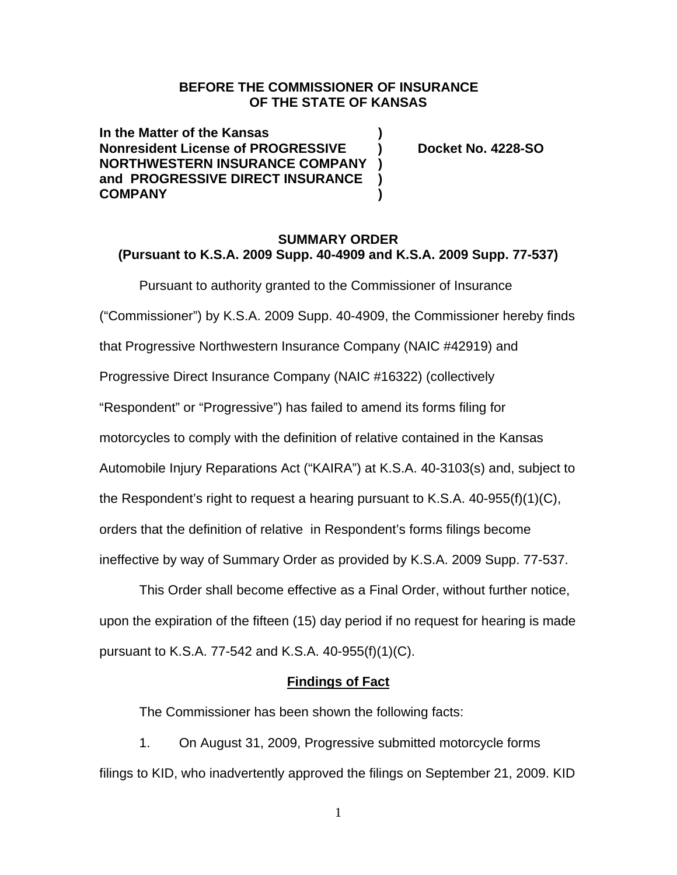# **BEFORE THE COMMISSIONER OF INSURANCE OF THE STATE OF KANSAS**

**In the Matter of the Kansas ) Nonresident License of PROGRESSIVE 1.4228-SO NORTHWESTERN INSURANCE COMPANY ) and PROGRESSIVE DIRECT INSURANCE ) COMPANY )** 

# **SUMMARY ORDER (Pursuant to K.S.A. 2009 Supp. 40-4909 and K.S.A. 2009 Supp. 77-537)**

Pursuant to authority granted to the Commissioner of Insurance ("Commissioner") by K.S.A. 2009 Supp. 40-4909, the Commissioner hereby finds that Progressive Northwestern Insurance Company (NAIC #42919) and Progressive Direct Insurance Company (NAIC #16322) (collectively "Respondent" or "Progressive") has failed to amend its forms filing for motorcycles to comply with the definition of relative contained in the Kansas Automobile Injury Reparations Act ("KAIRA") at K.S.A. 40-3103(s) and, subject to the Respondent's right to request a hearing pursuant to K.S.A. 40-955(f)(1)(C), orders that the definition of relative in Respondent's forms filings become ineffective by way of Summary Order as provided by K.S.A. 2009 Supp. 77-537.

This Order shall become effective as a Final Order, without further notice, upon the expiration of the fifteen (15) day period if no request for hearing is made pursuant to K.S.A. 77-542 and K.S.A. 40-955(f)(1)(C).

#### **Findings of Fact**

The Commissioner has been shown the following facts:

1. On August 31, 2009, Progressive submitted motorcycle forms filings to KID, who inadvertently approved the filings on September 21, 2009. KID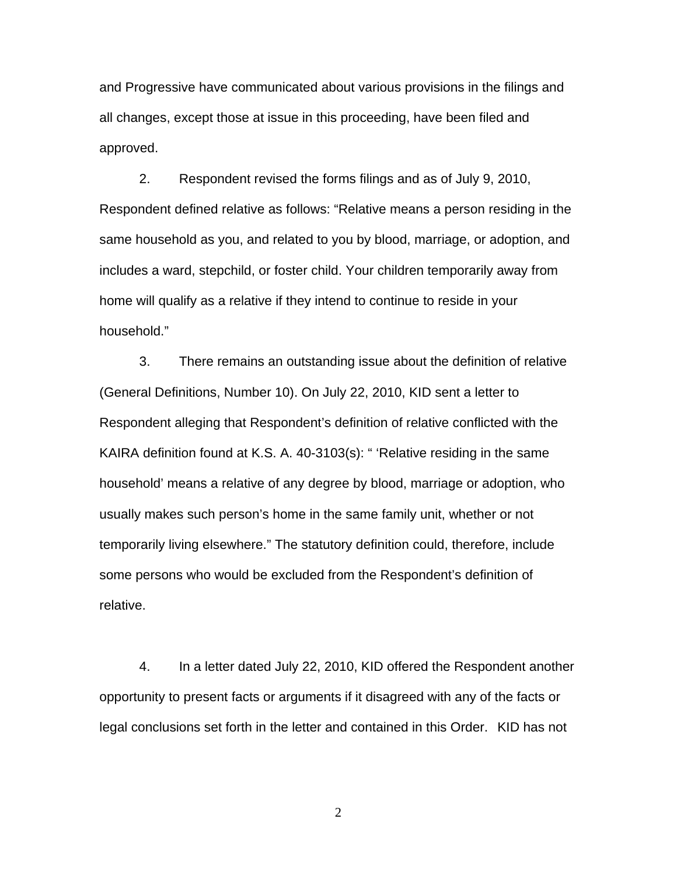and Progressive have communicated about various provisions in the filings and all changes, except those at issue in this proceeding, have been filed and approved.

2. Respondent revised the forms filings and as of July 9, 2010, Respondent defined relative as follows: "Relative means a person residing in the same household as you, and related to you by blood, marriage, or adoption, and includes a ward, stepchild, or foster child. Your children temporarily away from home will qualify as a relative if they intend to continue to reside in your household."

3. There remains an outstanding issue about the definition of relative (General Definitions, Number 10). On July 22, 2010, KID sent a letter to Respondent alleging that Respondent's definition of relative conflicted with the KAIRA definition found at K.S. A. 40-3103(s): " 'Relative residing in the same household' means a relative of any degree by blood, marriage or adoption, who usually makes such person's home in the same family unit, whether or not temporarily living elsewhere." The statutory definition could, therefore, include some persons who would be excluded from the Respondent's definition of relative.

4. In a letter dated July 22, 2010, KID offered the Respondent another opportunity to present facts or arguments if it disagreed with any of the facts or legal conclusions set forth in the letter and contained in this Order. KID has not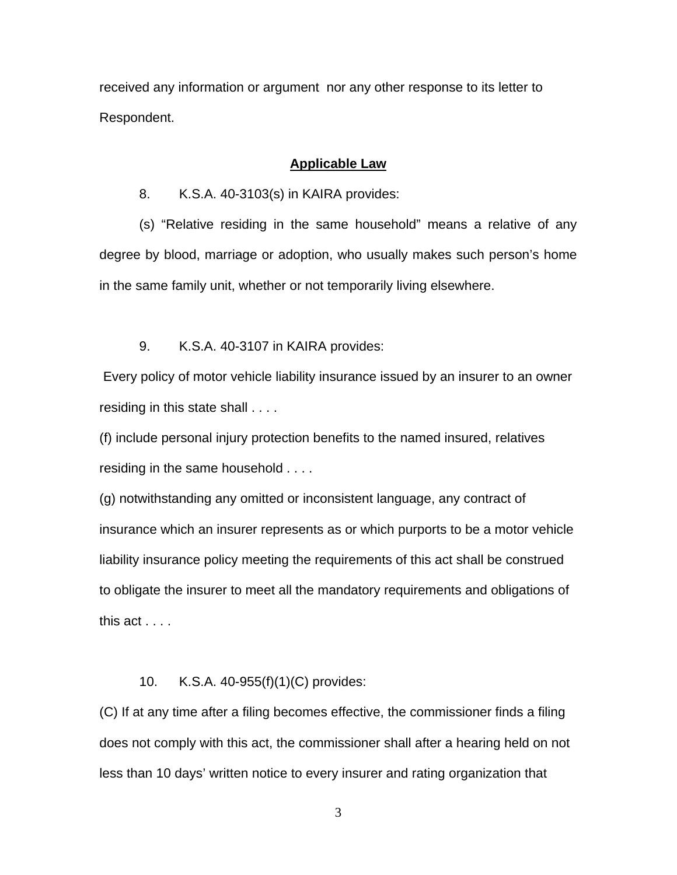received any information or argument nor any other response to its letter to Respondent.

#### **Applicable Law**

8. K.S.A. 40-3103(s) in KAIRA provides:

(s) "Relative residing in the same household" means a relative of any degree by blood, marriage or adoption, who usually makes such person's home in the same family unit, whether or not temporarily living elsewhere.

#### 9. K.S.A. 40-3107 in KAIRA provides:

 Every policy of motor vehicle liability insurance issued by an insurer to an owner residing in this state shall . . . .

(f) include personal injury protection benefits to the named insured, relatives residing in the same household . . . .

(g) notwithstanding any omitted or inconsistent language, any contract of insurance which an insurer represents as or which purports to be a motor vehicle liability insurance policy meeting the requirements of this act shall be construed to obligate the insurer to meet all the mandatory requirements and obligations of this act . . . .

#### 10. K.S.A. 40-955(f)(1)(C) provides:

(C) If at any time after a filing becomes effective, the commissioner finds a filing does not comply with this act, the commissioner shall after a hearing held on not less than 10 days' written notice to every insurer and rating organization that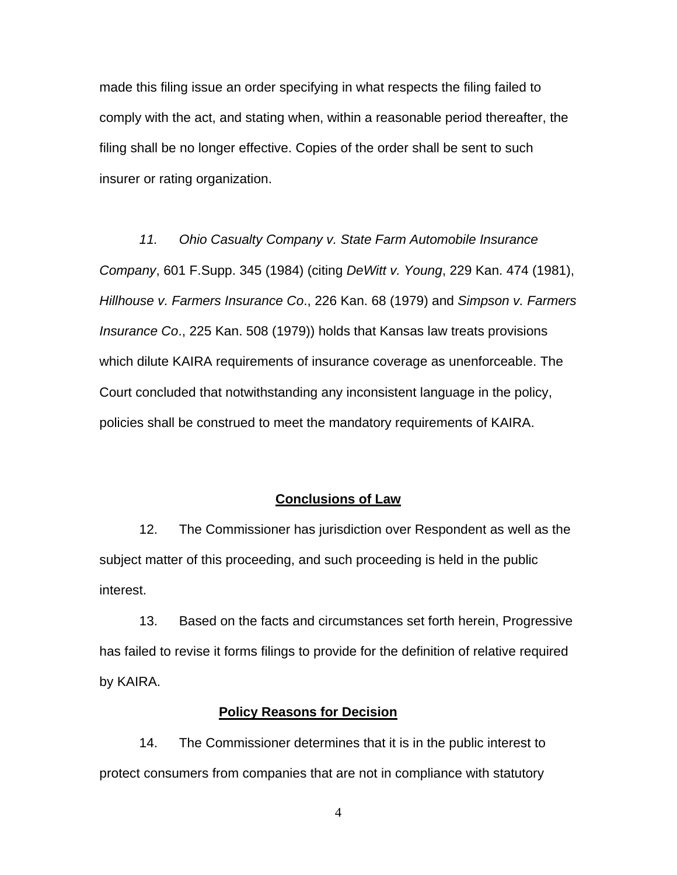made this filing issue an order specifying in what respects the filing failed to comply with the act, and stating when, within a reasonable period thereafter, the filing shall be no longer effective. Copies of the order shall be sent to such insurer or rating organization.

*11. Ohio Casualty Company v. State Farm Automobile Insurance Company*, 601 F.Supp. 345 (1984) (citing *DeWitt v. Young*, 229 Kan. 474 (1981), *Hillhouse v. Farmers Insurance Co*., 226 Kan. 68 (1979) and *Simpson v. Farmers Insurance Co*., 225 Kan. 508 (1979)) holds that Kansas law treats provisions which dilute KAIRA requirements of insurance coverage as unenforceable. The Court concluded that notwithstanding any inconsistent language in the policy, policies shall be construed to meet the mandatory requirements of KAIRA.

### **Conclusions of Law**

12. The Commissioner has jurisdiction over Respondent as well as the subject matter of this proceeding, and such proceeding is held in the public interest.

13. Based on the facts and circumstances set forth herein, Progressive has failed to revise it forms filings to provide for the definition of relative required by KAIRA.

#### **Policy Reasons for Decision**

14. The Commissioner determines that it is in the public interest to protect consumers from companies that are not in compliance with statutory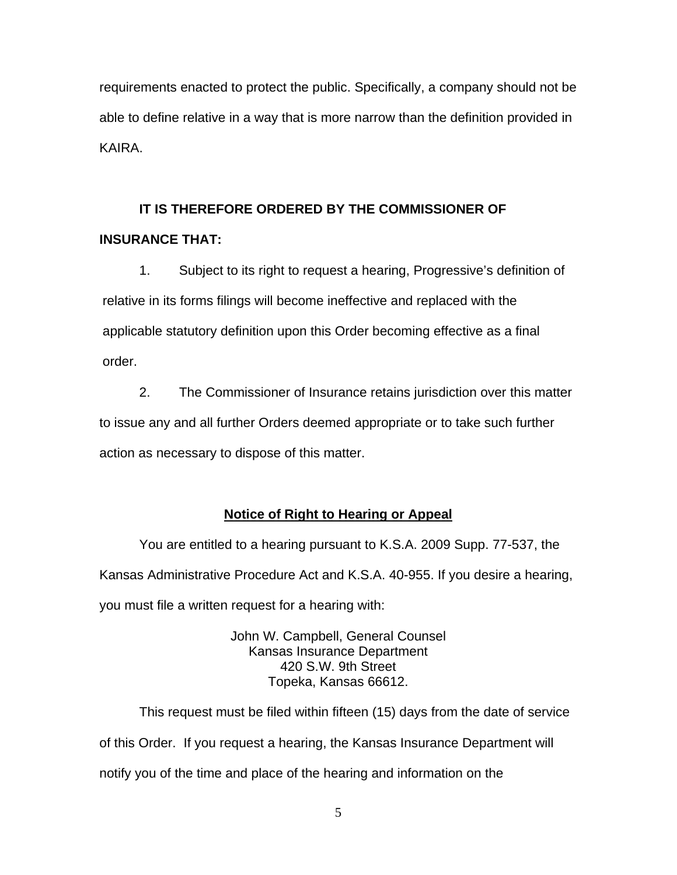requirements enacted to protect the public. Specifically, a company should not be able to define relative in a way that is more narrow than the definition provided in KAIRA.

# **IT IS THEREFORE ORDERED BY THE COMMISSIONER OF**

### **INSURANCE THAT:**

1. Subject to its right to request a hearing, Progressive's definition of relative in its forms filings will become ineffective and replaced with the applicable statutory definition upon this Order becoming effective as a final order.

2. The Commissioner of Insurance retains jurisdiction over this matter to issue any and all further Orders deemed appropriate or to take such further action as necessary to dispose of this matter.

### **Notice of Right to Hearing or Appeal**

You are entitled to a hearing pursuant to K.S.A. 2009 Supp. 77-537, the Kansas Administrative Procedure Act and K.S.A. 40-955. If you desire a hearing, you must file a written request for a hearing with:

> John W. Campbell, General Counsel Kansas Insurance Department 420 S.W. 9th Street Topeka, Kansas 66612.

This request must be filed within fifteen (15) days from the date of service of this Order. If you request a hearing, the Kansas Insurance Department will notify you of the time and place of the hearing and information on the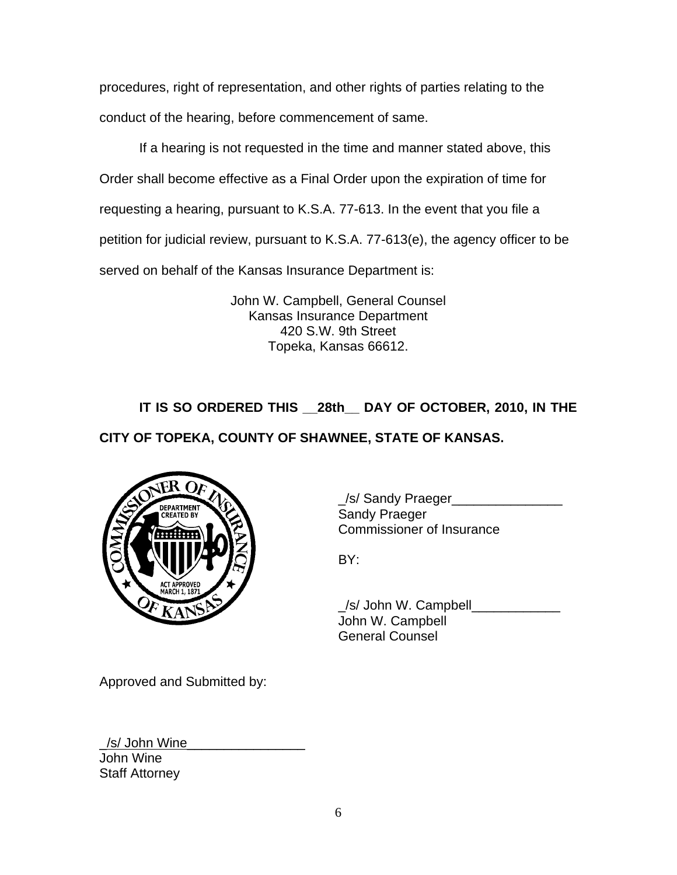procedures, right of representation, and other rights of parties relating to the conduct of the hearing, before commencement of same.

If a hearing is not requested in the time and manner stated above, this Order shall become effective as a Final Order upon the expiration of time for requesting a hearing, pursuant to K.S.A. 77-613. In the event that you file a petition for judicial review, pursuant to K.S.A. 77-613(e), the agency officer to be served on behalf of the Kansas Insurance Department is:

> John W. Campbell, General Counsel Kansas Insurance Department 420 S.W. 9th Street Topeka, Kansas 66612.

**IT IS SO ORDERED THIS \_\_28th\_\_ DAY OF OCTOBER, 2010, IN THE** 

**CITY OF TOPEKA, COUNTY OF SHAWNEE, STATE OF KANSAS.** 



\_/s/ Sandy Praeger\_\_\_\_\_\_\_\_\_\_\_\_\_\_\_ Commissioner of Insurance

 \_/s/ John W. Campbell\_\_\_\_\_\_\_\_\_\_\_\_ John W. Campbell General Counsel

Approved and Submitted by:

\_/s/ John Wine\_\_\_\_\_\_\_\_\_\_\_\_\_\_\_\_ John Wine Staff Attorney